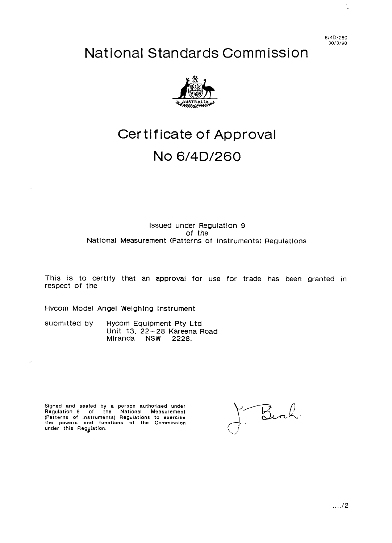**614Di260 30/3/90** 

# National Standards Commission



# Certificate of Approval

# No 6/4D/260

# Issued under Regulation 9 of the Natlonal Measurement (Patterns of Instruments) Regulations

This is to certify that an approval for use for trade has been granted in respect of the

Hycom Model Angel Weighing Instrument

submitted by Hycom Equipment Pty Ltd Unit 13, 22-28 Kareena Road Miranda NSW 2228.

Signed and sealed by a person authorised under<br>Regulation 9 of the National Measuremen<br>(Patterns of Instruments) Regulations to exercise<br>the powers and functions of the Commission<br>under this Regylation.

Birch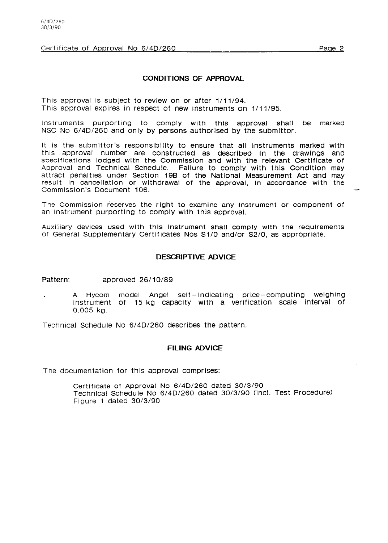# **CONDITIONS OF APPROVAL**

This approval is subject to review on or after 1/11/94. This approval expires in respect of new instruments on 1/11/95.

Instruments purporting to comply with this approval shall be marked NSC No 6/4D/260 and only by persons authorised by the submlttor.

It is the submlttor's responsibility to ensure that all instruments marked with this approval number are constructed as described In the drawlngs and specifications lodged wlth the Commlsslon and wlth the relevant Certificate of Approval and Technical Schedule. Fallure to comply with this Condition may attract penalties under Section 19B of the Natlonal Measurement Act and may result in cancellation or wlthdrawal of the approval, In accordance with the Commisslon's Document 106.

The Commission reserves the right to examine any instrument or component of an Instrument purporting to comply wlth this approval.

Auxiliary devices used wlth thls Instrument shall comply wlth the requirements of General Supplementary Certificates NOS Sl/O and/or 52/O, as appropriate.

#### **DESCRIPTIVE ADVICE**

#### Pattern: **approved** 26/10/89

A Hycom model Angel self-indicating price-computing weighing instrument of 15 kg capacity with a verification scale interval of 0.005 kQ.

Technical Schedule No 6/4D/260 describes the pattern.

# **FILING ADVICE**

The documentation for this approval comprises:

Certificate of Approval No 6/4D/260 dated 30/3/90 Technical Schedule No 6/4D/260 dated 30/3/90 (incl. Test Procedure) Figure 1 dated 30/3/90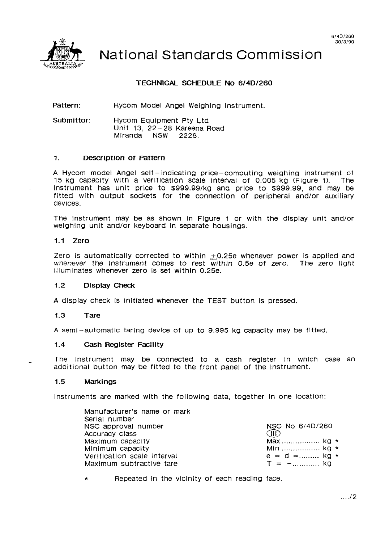

National Standards Commission

# **TECHNICAL SCHEDULE No 6/4D/260**

**Pattern:**  Hycom Model Angel Weighing Instrument.

**Submittor:**  Hycom Equipment Pty Ltd Unit 13, 22-28 Kareena Road Mlranda NSW **2228.** 

#### 1. **Descrlptlon of Pattern**

A Hycom model Angel self -indicating price-computing weighing instrument of 15 kg Capacity wlth a verlflcatlon Scale Interval of 0.005 kg (Figure 1). The instrument has unit price to \$999.99/kg and price to \$999.99, and may be fitted with output sockets for the connection of peripheral and/or auxiliary devices.

The Instrument may be as shown In Figure 1 or with the dlsplay unit and/or welghing unit and/or keyboard In separate housings.

#### **1.1 Zero**

Zero is automatically corrected to within  $\pm$ 0.25e whenever power is applied and whenever the instrument comes to rest within 0.5e of zero. The zero light illuminates whenever zero Is set within 0.25e.

#### **1.2 Display Check**

A display check Is Initiated whenever the TEST button Is pressed.

#### **1.3 Tare**

A semi-automatic taring device of up to 9.995 kg capacity may be fitted.

#### **1.4 Cash Register Facility**

The Instrument may be connected to a cash register in which case an additional button may be fitted to the front panel of the instrument.

#### 1.5 **Markings**

Instruments are marked with the followlnQ data, together in one locatlon:

| Manufacturer's name or mark |                 |  |
|-----------------------------|-----------------|--|
| Serial number               |                 |  |
| NSC approval number         | NSC No 6/4D/260 |  |
| Accuracy class              | Œ               |  |
| Maximum capacity            | Max $ka *$      |  |
| Minimum capacity            | Min  kg *       |  |
| Verification scale interval | $e = d =$ kg *  |  |
| Maximum subtractive tare    | $T = -$ kg      |  |

\* Repeated In the VlCinity of each readlng face.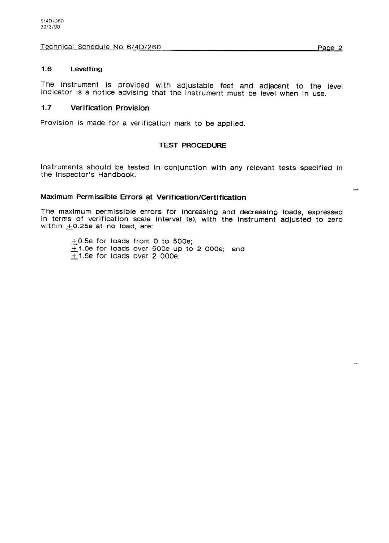Technical Schedule No 6/4D/260

# **1.6 Levelling**

The instrument is provided wlth adjustable feet and adjacent to the level indicator is a notice advising that the Instrument must be level when In use.

# **1.7 Verification Provision**

Provision is made for a verification mark to be applied.

# **TEST PROCEDURE**

Instruments should be tested in conjunction wlth any relevant tests specified in the Inspector's Handbook.

# **Maximum Permissible Errors at Verification/Certlficatlon**

The maxlmum permlsslble errors for Increasing and decreasing loads, expressed in terms of verlflcation scale Interval (e), wlth the Instrument adJusted to zero within  $\pm$ 0.25e at no load, are:

 $+0.5e$  for loads from 0 to 500e;  $+1.0$ e for loads over 500e up to 2 000e; and  $+1.5e$  for loads over 2 000e.